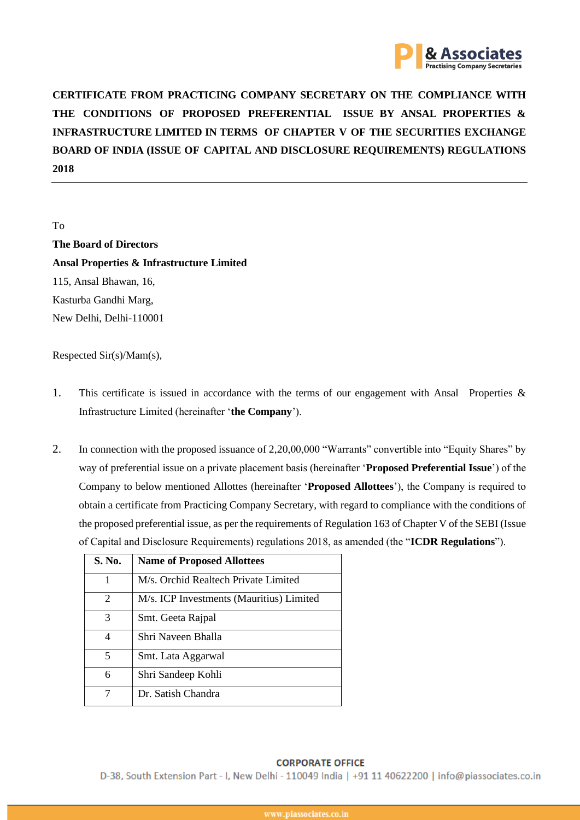

**CERTIFICATE FROM PRACTICING COMPANY SECRETARY ON THE COMPLIANCE WITH THE CONDITIONS OF PROPOSED PREFERENTIAL ISSUE BY ANSAL PROPERTIES & INFRASTRUCTURE LIMITED IN TERMS OF CHAPTER V OF THE SECURITIES EXCHANGE BOARD OF INDIA (ISSUE OF CAPITAL AND DISCLOSURE REQUIREMENTS) REGULATIONS 2018**

To

**The Board of Directors Ansal Properties & Infrastructure Limited** 115, Ansal Bhawan, 16, Kasturba Gandhi Marg, New Delhi, Delhi-110001

Respected Sir(s)/Mam(s),

- 1. This certificate is issued in accordance with the terms of our engagement with Ansal Properties & Infrastructure Limited (hereinafter '**the Company**').
- 2. In connection with the proposed issuance of 2,20,00,000 "Warrants" convertible into "Equity Shares" by way of preferential issue on a private placement basis (hereinafter '**Proposed Preferential Issue**') of the Company to below mentioned Allottes (hereinafter '**Proposed Allottees**'), the Company is required to obtain a certificate from Practicing Company Secretary, with regard to compliance with the conditions of the proposed preferential issue, as per the requirements of Regulation 163 of Chapter V of the SEBI (Issue of Capital and Disclosure Requirements) regulations 2018, as amended (the "**ICDR Regulations**").

| S. No. | <b>Name of Proposed Allottees</b>        |
|--------|------------------------------------------|
| 1      | M/s. Orchid Realtech Private Limited     |
| 2      | M/s. ICP Investments (Mauritius) Limited |
| 3      | Smt. Geeta Rajpal                        |
| 4      | Shri Naveen Bhalla                       |
| 5      | Smt. Lata Aggarwal                       |
| 6      | Shri Sandeep Kohli                       |
|        | Dr. Satish Chandra                       |

# **CORPORATE OFFICE**

D-38, South Extension Part - I, New Delhi - 110049 India | +91 11 40622200 | info@piassociates.co.in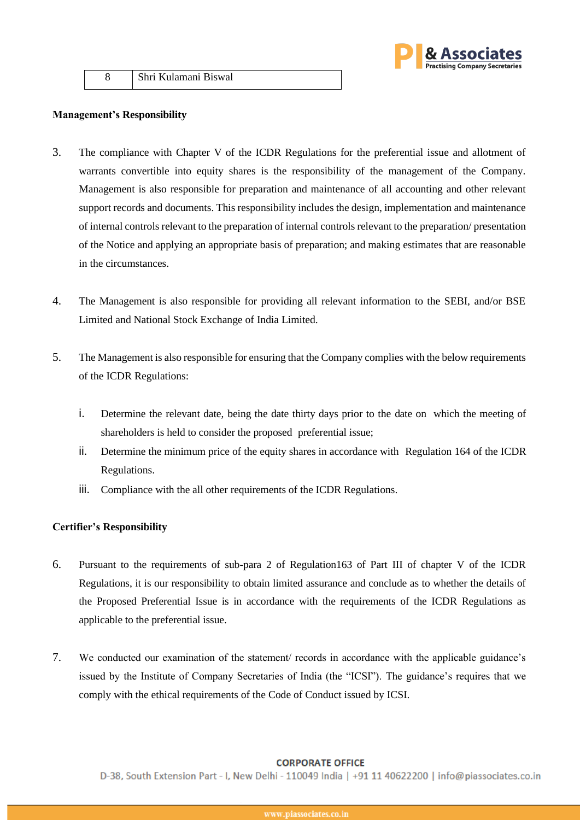

8 Shri Kulamani Biswal

## **Management's Responsibility**

- 3. The compliance with Chapter V of the ICDR Regulations for the preferential issue and allotment of warrants convertible into equity shares is the responsibility of the management of the Company. Management is also responsible for preparation and maintenance of all accounting and other relevant support records and documents. This responsibility includes the design, implementation and maintenance of internal controls relevant to the preparation of internal controls relevant to the preparation/ presentation of the Notice and applying an appropriate basis of preparation; and making estimates that are reasonable in the circumstances.
- 4. The Management is also responsible for providing all relevant information to the SEBI, and/or BSE Limited and National Stock Exchange of India Limited.
- 5. The Management is also responsible for ensuring that the Company complies with the below requirements of the ICDR Regulations:
	- i. Determine the relevant date, being the date thirty days prior to the date on which the meeting of shareholders is held to consider the proposed preferential issue;
	- ii. Determine the minimum price of the equity shares in accordance with Regulation 164 of the ICDR Regulations.
	- iii. Compliance with the all other requirements of the ICDR Regulations.

# **Certifier's Responsibility**

- 6. Pursuant to the requirements of sub-para 2 of Regulation163 of Part III of chapter V of the ICDR Regulations, it is our responsibility to obtain limited assurance and conclude as to whether the details of the Proposed Preferential Issue is in accordance with the requirements of the ICDR Regulations as applicable to the preferential issue.
- 7. We conducted our examination of the statement/ records in accordance with the applicable guidance's issued by the Institute of Company Secretaries of India (the "ICSI"). The guidance's requires that we comply with the ethical requirements of the Code of Conduct issued by ICSI.

## **CORPORATE OFFICE**

D-38, South Extension Part - I, New Delhi - 110049 India | +91 11 40622200 | info@piassociates.co.in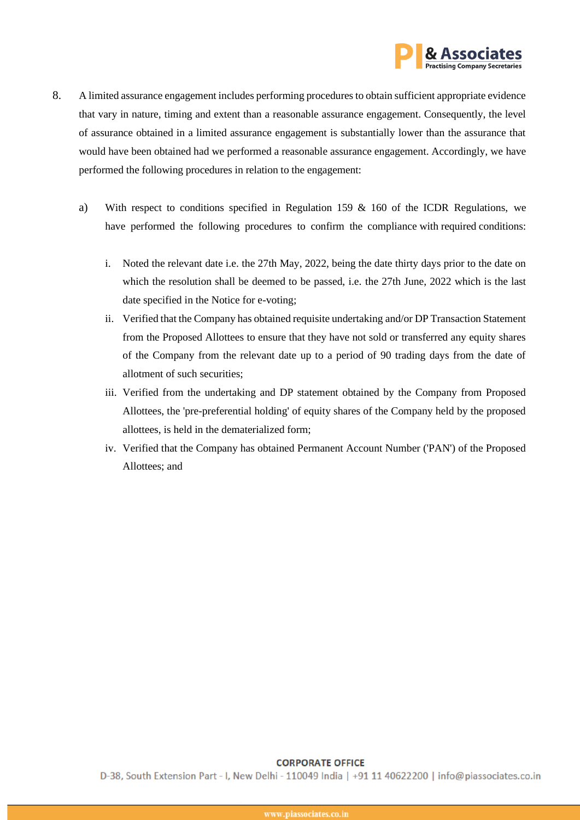

- 8. A limited assurance engagement includes performing procedures to obtain sufficient appropriate evidence that vary in nature, timing and extent than a reasonable assurance engagement. Consequently, the level of assurance obtained in a limited assurance engagement is substantially lower than the assurance that would have been obtained had we performed a reasonable assurance engagement. Accordingly, we have performed the following procedures in relation to the engagement:
	- a) With respect to conditions specified in Regulation 159 & 160 of the ICDR Regulations, we have performed the following procedures to confirm the compliance with required conditions:
		- i. Noted the relevant date i.e. the 27th May, 2022, being the date thirty days prior to the date on which the resolution shall be deemed to be passed, i.e. the 27th June, 2022 which is the last date specified in the Notice for e-voting;
		- ii. Verified that the Company has obtained requisite undertaking and/or DP Transaction Statement from the Proposed Allottees to ensure that they have not sold or transferred any equity shares of the Company from the relevant date up to a period of 90 trading days from the date of allotment of such securities;
		- iii. Verified from the undertaking and DP statement obtained by the Company from Proposed Allottees, the 'pre-preferential holding' of equity shares of the Company held by the proposed allottees, is held in the dematerialized form;
		- iv. Verified that the Company has obtained Permanent Account Number ('PAN') of the Proposed Allottees; and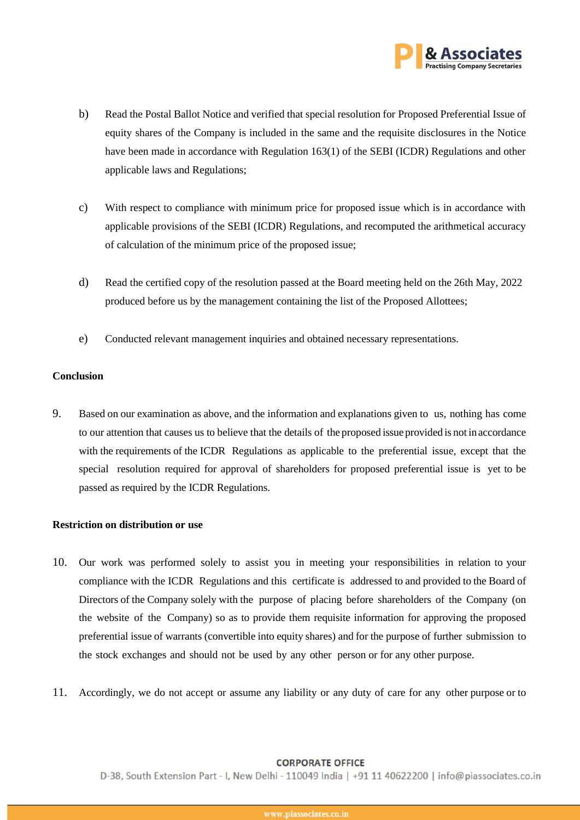

- b) Read the Postal Ballot Notice and verified that special resolution for Proposed Preferential Issue of equity shares of the Company is included in the same and the requisite disclosures in the Notice have been made in accordance with Regulation 163(1) of the SEBI (ICDR) Regulations and other applicable laws and Regulations;
- c) With respect to compliance with minimum price for proposed issue which is in accordance with applicable provisions of the SEBI (ICDR) Regulations, and recomputed the arithmetical accuracy of calculation of the minimum price of the proposed issue;
- d) Read the certified copy of the resolution passed at the Board meeting held on the 26th May, 2022 produced before us by the management containing the list of the Proposed Allottees;
- e) Conducted relevant management inquiries and obtained necessary representations.

# **Conclusion**

9. Based on our examination as above, and the information and explanations given to us, nothing has come to our attention that causes us to believe that the details of the proposed issue provided is not in accordance with the requirements of the ICDR Regulations as applicable to the preferential issue, except that the special resolution required for approval of shareholders for proposed preferential issue is yet to be passed as required by the ICDR Regulations.

# **Restriction on distribution or use**

- 10. Our work was performed solely to assist you in meeting your responsibilities in relation to your compliance with the ICDR Regulations and this certificate is addressed to and provided to the Board of Directors of the Company solely with the purpose of placing before shareholders of the Company (on the website of the Company) so as to provide them requisite information for approving the proposed preferential issue of warrants (convertible into equity shares) and for the purpose of further submission to the stock exchanges and should not be used by any other person or for any other purpose.
- 11. Accordingly, we do not accept or assume any liability or any duty of care for any other purpose or to

## **CORPORATE OFFICE**

D-38, South Extension Part - I, New Delhi - 110049 India | +91 11 40622200 | info@piassociates.co.in